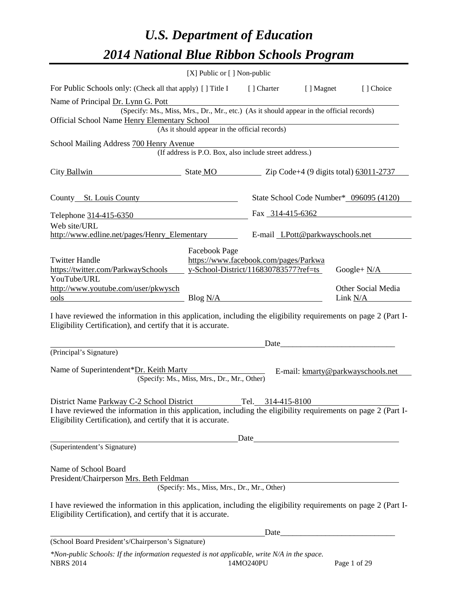# *U.S. Department of Education 2014 National Blue Ribbon Schools Program*

|                                                                                                                                                                                | [X] Public or [] Non-public                            |                                       |            |                                                  |
|--------------------------------------------------------------------------------------------------------------------------------------------------------------------------------|--------------------------------------------------------|---------------------------------------|------------|--------------------------------------------------|
| For Public Schools only: (Check all that apply) [] Title I                                                                                                                     |                                                        | [] Charter                            | [ ] Magnet | [] Choice                                        |
| Name of Principal Dr. Lynn G. Pott                                                                                                                                             |                                                        |                                       |            |                                                  |
| (Specify: Ms., Miss, Mrs., Dr., Mr., etc.) (As it should appear in the official records)<br><b>Official School Name Henry Elementary School</b>                                |                                                        |                                       |            |                                                  |
|                                                                                                                                                                                | (As it should appear in the official records)          |                                       |            |                                                  |
| School Mailing Address 700 Henry Avenue                                                                                                                                        |                                                        |                                       |            |                                                  |
|                                                                                                                                                                                | (If address is P.O. Box, also include street address.) |                                       |            |                                                  |
| City Ballwin                                                                                                                                                                   | State MO                                               |                                       |            | Zip Code+4 $(9 \text{ digits total})$ 63011-2737 |
|                                                                                                                                                                                |                                                        |                                       |            |                                                  |
| County St. Louis County                                                                                                                                                        |                                                        |                                       |            | State School Code Number* 096095 (4120)          |
| Telephone 314-415-6350                                                                                                                                                         |                                                        | Fax 314-415-6362                      |            |                                                  |
| Web site/URL                                                                                                                                                                   |                                                        |                                       |            |                                                  |
| http://www.edline.net/pages/Henry_Elementary                                                                                                                                   |                                                        | E-mail LPott@parkwayschools.net       |            |                                                  |
|                                                                                                                                                                                | Facebook Page                                          |                                       |            |                                                  |
| <b>Twitter Handle</b>                                                                                                                                                          |                                                        | https://www.facebook.com/pages/Parkwa |            |                                                  |
| https://twitter.com/ParkwaySchools<br>YouTube/URL                                                                                                                              |                                                        | y-School-District/116830783577?ref=ts |            | Google+ $N/A$                                    |
| http://www.youtube.com/user/pkwysch                                                                                                                                            |                                                        |                                       |            | Other Social Media                               |
| ools                                                                                                                                                                           | Blog N/A                                               |                                       |            | Link N/A                                         |
| I have reviewed the information in this application, including the eligibility requirements on page 2 (Part I-<br>Eligibility Certification), and certify that it is accurate. |                                                        |                                       |            |                                                  |
|                                                                                                                                                                                |                                                        | Date                                  |            |                                                  |
| (Principal's Signature)                                                                                                                                                        |                                                        |                                       |            |                                                  |
| Name of Superintendent*Dr. Keith Marty                                                                                                                                         |                                                        |                                       |            | E-mail: kmarty@parkwayschools.net                |
|                                                                                                                                                                                | (Specify: Ms., Miss, Mrs., Dr., Mr., Other)            |                                       |            |                                                  |
|                                                                                                                                                                                |                                                        |                                       |            |                                                  |
| District Name Parkway C-2 School District Tel. 314-415-8100                                                                                                                    |                                                        |                                       |            |                                                  |
| I have reviewed the information in this application, including the eligibility requirements on page 2 (Part I-<br>Eligibility Certification), and certify that it is accurate. |                                                        |                                       |            |                                                  |
|                                                                                                                                                                                |                                                        |                                       |            | Date                                             |
| (Superintendent's Signature)                                                                                                                                                   |                                                        |                                       |            |                                                  |
|                                                                                                                                                                                |                                                        |                                       |            |                                                  |
| Name of School Board<br>President/Chairperson Mrs. Beth Feldman                                                                                                                |                                                        |                                       |            |                                                  |
|                                                                                                                                                                                | (Specify: Ms., Miss, Mrs., Dr., Mr., Other)            |                                       |            |                                                  |
| I have reviewed the information in this application, including the eligibility requirements on page 2 (Part I-                                                                 |                                                        |                                       |            |                                                  |
| Eligibility Certification), and certify that it is accurate.                                                                                                                   |                                                        |                                       |            |                                                  |
|                                                                                                                                                                                |                                                        |                                       |            |                                                  |
| (School Board President's/Chairperson's Signature)                                                                                                                             |                                                        |                                       |            |                                                  |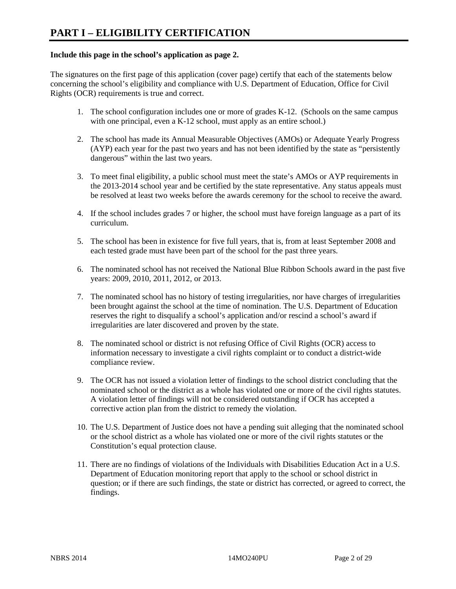#### **Include this page in the school's application as page 2.**

The signatures on the first page of this application (cover page) certify that each of the statements below concerning the school's eligibility and compliance with U.S. Department of Education, Office for Civil Rights (OCR) requirements is true and correct.

- 1. The school configuration includes one or more of grades K-12. (Schools on the same campus with one principal, even a K-12 school, must apply as an entire school.)
- 2. The school has made its Annual Measurable Objectives (AMOs) or Adequate Yearly Progress (AYP) each year for the past two years and has not been identified by the state as "persistently dangerous" within the last two years.
- 3. To meet final eligibility, a public school must meet the state's AMOs or AYP requirements in the 2013-2014 school year and be certified by the state representative. Any status appeals must be resolved at least two weeks before the awards ceremony for the school to receive the award.
- 4. If the school includes grades 7 or higher, the school must have foreign language as a part of its curriculum.
- 5. The school has been in existence for five full years, that is, from at least September 2008 and each tested grade must have been part of the school for the past three years.
- 6. The nominated school has not received the National Blue Ribbon Schools award in the past five years: 2009, 2010, 2011, 2012, or 2013.
- 7. The nominated school has no history of testing irregularities, nor have charges of irregularities been brought against the school at the time of nomination. The U.S. Department of Education reserves the right to disqualify a school's application and/or rescind a school's award if irregularities are later discovered and proven by the state.
- 8. The nominated school or district is not refusing Office of Civil Rights (OCR) access to information necessary to investigate a civil rights complaint or to conduct a district-wide compliance review.
- 9. The OCR has not issued a violation letter of findings to the school district concluding that the nominated school or the district as a whole has violated one or more of the civil rights statutes. A violation letter of findings will not be considered outstanding if OCR has accepted a corrective action plan from the district to remedy the violation.
- 10. The U.S. Department of Justice does not have a pending suit alleging that the nominated school or the school district as a whole has violated one or more of the civil rights statutes or the Constitution's equal protection clause.
- 11. There are no findings of violations of the Individuals with Disabilities Education Act in a U.S. Department of Education monitoring report that apply to the school or school district in question; or if there are such findings, the state or district has corrected, or agreed to correct, the findings.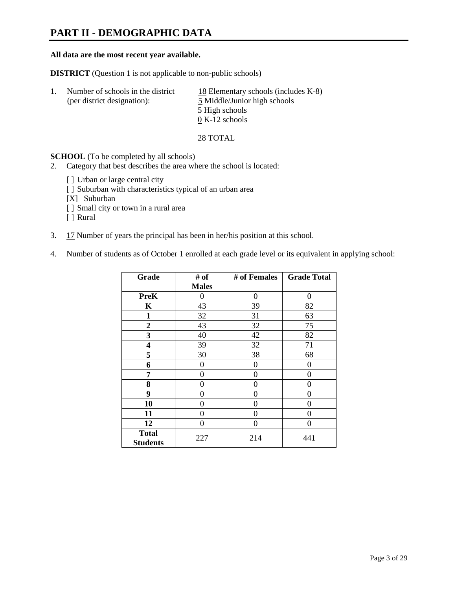## **PART II - DEMOGRAPHIC DATA**

#### **All data are the most recent year available.**

**DISTRICT** (Question 1 is not applicable to non-public schools)

| Number of schools in the district<br>(per district designation): | 18 Elementary schools (includes $K-8$ )<br>5 Middle/Junior high schools |
|------------------------------------------------------------------|-------------------------------------------------------------------------|
|                                                                  | 5 High schools                                                          |
|                                                                  | $0 K-12$ schools                                                        |

28 TOTAL

**SCHOOL** (To be completed by all schools)

- 2. Category that best describes the area where the school is located:
	- [] Urban or large central city
	- [ ] Suburban with characteristics typical of an urban area
	- [X] Suburban
	- [ ] Small city or town in a rural area
	- [ ] Rural
- 3. 17 Number of years the principal has been in her/his position at this school.
- 4. Number of students as of October 1 enrolled at each grade level or its equivalent in applying school:

| Grade           | # of         | # of Females | <b>Grade Total</b> |
|-----------------|--------------|--------------|--------------------|
|                 | <b>Males</b> |              |                    |
| <b>PreK</b>     | 0            | $\theta$     | $\Omega$           |
| K               | 43           | 39           | 82                 |
| $\mathbf{1}$    | 32           | 31           | 63                 |
| $\overline{2}$  | 43           | 32           | 75                 |
| 3               | 40           | 42           | 82                 |
| 4               | 39           | 32           | 71                 |
| 5               | 30           | 38           | 68                 |
| 6               | 0            | 0            | $\theta$           |
| 7               | 0            | 0            | 0                  |
| 8               | 0            | 0            | 0                  |
| 9               | 0            | 0            | 0                  |
| 10              | 0            | 0            | 0                  |
| 11              | 0            | 0            | 0                  |
| 12              | 0            | $\theta$     | 0                  |
| <b>Total</b>    | 227          | 214          | 441                |
| <b>Students</b> |              |              |                    |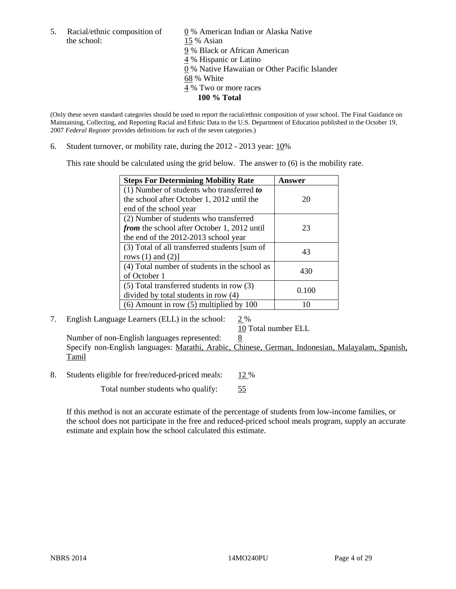the school: 15 % Asian

5. Racial/ethnic composition of  $\qquad \qquad \underline{0}$  % American Indian or Alaska Native 9 % Black or African American 4 % Hispanic or Latino 0 % Native Hawaiian or Other Pacific Islander 68 % White 4 % Two or more races **100 % Total** 

(Only these seven standard categories should be used to report the racial/ethnic composition of your school. The Final Guidance on Maintaining, Collecting, and Reporting Racial and Ethnic Data to the U.S. Department of Education published in the October 19, 2007 *Federal Register* provides definitions for each of the seven categories.)

6. Student turnover, or mobility rate, during the 2012 - 2013 year: 10%

This rate should be calculated using the grid below. The answer to (6) is the mobility rate.

| <b>Steps For Determining Mobility Rate</b>         | Answer |
|----------------------------------------------------|--------|
| (1) Number of students who transferred to          |        |
| the school after October 1, 2012 until the         | 20     |
| end of the school year                             |        |
| (2) Number of students who transferred             |        |
| <i>from</i> the school after October 1, 2012 until | 23     |
| the end of the 2012-2013 school year               |        |
| (3) Total of all transferred students [sum of      | 43     |
| rows $(1)$ and $(2)$ ]                             |        |
| (4) Total number of students in the school as      | 430    |
| of October 1                                       |        |
| $(5)$ Total transferred students in row $(3)$      | 0.100  |
| divided by total students in row (4)               |        |
| $(6)$ Amount in row $(5)$ multiplied by 100        | 10     |

#### 7. English Language Learners (ELL) in the school: 2 %

10 Total number ELL

Number of non-English languages represented: 8 Specify non-English languages: Marathi, Arabic, Chinese, German, Indonesian, Malayalam, Spanish, Tamil

8. Students eligible for free/reduced-priced meals: 12 %

Total number students who qualify: 55

If this method is not an accurate estimate of the percentage of students from low-income families, or the school does not participate in the free and reduced-priced school meals program, supply an accurate estimate and explain how the school calculated this estimate.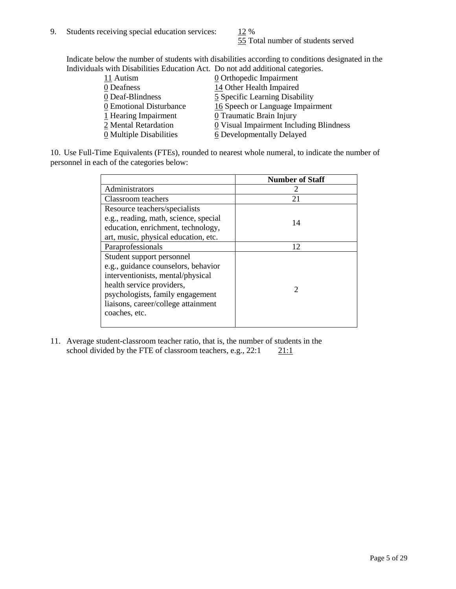55 Total number of students served

Indicate below the number of students with disabilities according to conditions designated in the Individuals with Disabilities Education Act. Do not add additional categories.

| 11 Autism               | $\underline{0}$ Orthopedic Impairment   |
|-------------------------|-----------------------------------------|
| 0 Deafness              | 14 Other Health Impaired                |
| 0 Deaf-Blindness        | 5 Specific Learning Disability          |
| 0 Emotional Disturbance | 16 Speech or Language Impairment        |
| 1 Hearing Impairment    | 0 Traumatic Brain Injury                |
| 2 Mental Retardation    | 0 Visual Impairment Including Blindness |
| 0 Multiple Disabilities | 6 Developmentally Delayed               |
|                         |                                         |

10. Use Full-Time Equivalents (FTEs), rounded to nearest whole numeral, to indicate the number of personnel in each of the categories below:

|                                       | <b>Number of Staff</b> |
|---------------------------------------|------------------------|
| Administrators                        |                        |
| Classroom teachers                    | 21                     |
| Resource teachers/specialists         |                        |
| e.g., reading, math, science, special | 14                     |
| education, enrichment, technology,    |                        |
| art, music, physical education, etc.  |                        |
| Paraprofessionals                     | 12                     |
| Student support personnel             |                        |
| e.g., guidance counselors, behavior   |                        |
| interventionists, mental/physical     |                        |
| health service providers,             | 2                      |
| psychologists, family engagement      |                        |
| liaisons, career/college attainment   |                        |
| coaches, etc.                         |                        |
|                                       |                        |

11. Average student-classroom teacher ratio, that is, the number of students in the school divided by the FTE of classroom teachers, e.g.,  $22:1$  21:1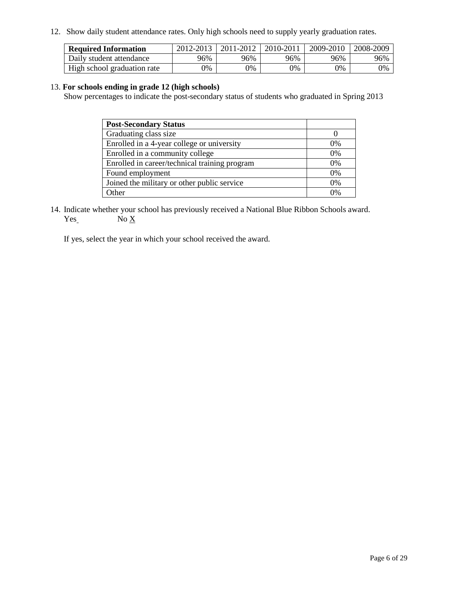12. Show daily student attendance rates. Only high schools need to supply yearly graduation rates.

| <b>Required Information</b> | 2012-2013 | 2011-2012 | 2010-2011 | 2009-2010 | 2008-2009 |
|-----------------------------|-----------|-----------|-----------|-----------|-----------|
| Daily student attendance    | 96%       | 96%       | 96%       | 96%       | 96%       |
| High school graduation rate | 9%        | 0%        | 9%        | 0%        | 0%        |

#### 13. **For schools ending in grade 12 (high schools)**

Show percentages to indicate the post-secondary status of students who graduated in Spring 2013

| <b>Post-Secondary Status</b>                  |       |
|-----------------------------------------------|-------|
| Graduating class size                         |       |
| Enrolled in a 4-year college or university    | $0\%$ |
| Enrolled in a community college               | 0%    |
| Enrolled in career/technical training program | 0%    |
| Found employment                              | 0%    |
| Joined the military or other public service   | $0\%$ |
| <b>Other</b>                                  | በ%    |

14. Indicate whether your school has previously received a National Blue Ribbon Schools award.  $Yes_$  No  $X_$ 

If yes, select the year in which your school received the award.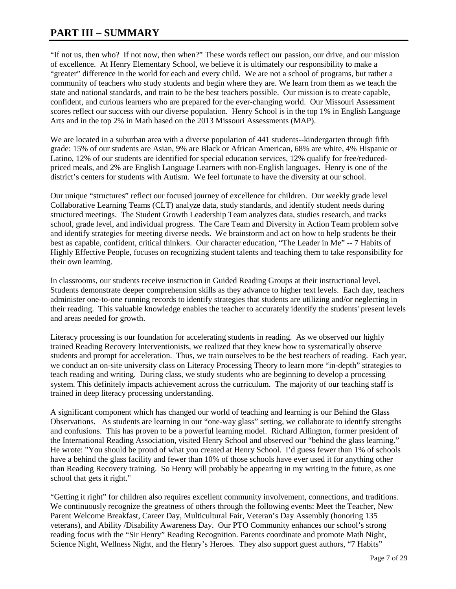## **PART III – SUMMARY**

"If not us, then who? If not now, then when?" These words reflect our passion, our drive, and our mission of excellence. At Henry Elementary School, we believe it is ultimately our responsibility to make a "greater" difference in the world for each and every child. We are not a school of programs, but rather a community of teachers who study students and begin where they are. We learn from them as we teach the state and national standards, and train to be the best teachers possible. Our mission is to create capable, confident, and curious learners who are prepared for the ever-changing world. Our Missouri Assessment scores reflect our success with our diverse population. Henry School is in the top 1% in English Language Arts and in the top 2% in Math based on the 2013 Missouri Assessments (MAP).

We are located in a suburban area with a diverse population of 441 students--kindergarten through fifth grade: 15% of our students are Asian, 9% are Black or African American, 68% are white, 4% Hispanic or Latino, 12% of our students are identified for special education services, 12% qualify for free/reducedpriced meals, and 2% are English Language Learners with non-English languages. Henry is one of the district's centers for students with Autism. We feel fortunate to have the diversity at our school.

Our unique "structures" reflect our focused journey of excellence for children. Our weekly grade level Collaborative Learning Teams (CLT) analyze data, study standards, and identify student needs during structured meetings. The Student Growth Leadership Team analyzes data, studies research, and tracks school, grade level, and individual progress. The Care Team and Diversity in Action Team problem solve and identify strategies for meeting diverse needs. We brainstorm and act on how to help students be their best as capable, confident, critical thinkers. Our character education, "The Leader in Me" -- 7 Habits of Highly Effective People, focuses on recognizing student talents and teaching them to take responsibility for their own learning.

In classrooms, our students receive instruction in Guided Reading Groups at their instructional level. Students demonstrate deeper comprehension skills as they advance to higher text levels. Each day, teachers administer one-to-one running records to identify strategies that students are utilizing and/or neglecting in their reading. This valuable knowledge enables the teacher to accurately identify the students' present levels and areas needed for growth.

Literacy processing is our foundation for accelerating students in reading. As we observed our highly trained Reading Recovery Interventionists, we realized that they knew how to systematically observe students and prompt for acceleration. Thus, we train ourselves to be the best teachers of reading. Each year, we conduct an on-site university class on Literacy Processing Theory to learn more "in-depth" strategies to teach reading and writing. During class, we study students who are beginning to develop a processing system. This definitely impacts achievement across the curriculum. The majority of our teaching staff is trained in deep literacy processing understanding.

A significant component which has changed our world of teaching and learning is our Behind the Glass Observations. As students are learning in our "one-way glass" setting, we collaborate to identify strengths and confusions. This has proven to be a powerful learning model. Richard Allington, former president of the International Reading Association, visited Henry School and observed our "behind the glass learning." He wrote: "You should be proud of what you created at Henry School. I'd guess fewer than 1% of schools have a behind the glass facility and fewer than 10% of those schools have ever used it for anything other than Reading Recovery training. So Henry will probably be appearing in my writing in the future, as one school that gets it right."

"Getting it right" for children also requires excellent community involvement, connections, and traditions. We continuously recognize the greatness of others through the following events: Meet the Teacher, New Parent Welcome Breakfast, Career Day, Multicultural Fair, Veteran's Day Assembly (honoring 135 veterans), and Ability /Disability Awareness Day. Our PTO Community enhances our school's strong reading focus with the "Sir Henry" Reading Recognition. Parents coordinate and promote Math Night, Science Night, Wellness Night, and the Henry's Heroes. They also support guest authors, "7 Habits"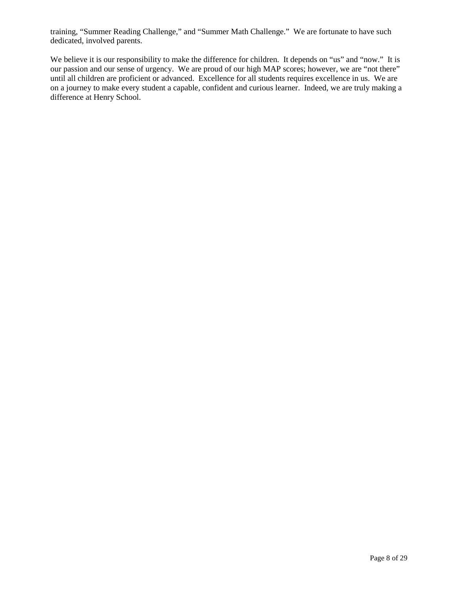training, "Summer Reading Challenge," and "Summer Math Challenge." We are fortunate to have such dedicated, involved parents.

We believe it is our responsibility to make the difference for children. It depends on "us" and "now." It is our passion and our sense of urgency. We are proud of our high MAP scores; however, we are "not there" until all children are proficient or advanced. Excellence for all students requires excellence in us. We are on a journey to make every student a capable, confident and curious learner. Indeed, we are truly making a difference at Henry School.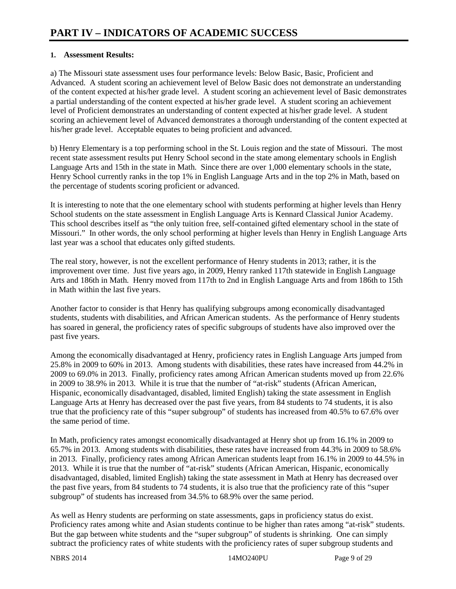#### **1. Assessment Results:**

a) The Missouri state assessment uses four performance levels: Below Basic, Basic, Proficient and Advanced. A student scoring an achievement level of Below Basic does not demonstrate an understanding of the content expected at his/her grade level. A student scoring an achievement level of Basic demonstrates a partial understanding of the content expected at his/her grade level. A student scoring an achievement level of Proficient demonstrates an understanding of content expected at his/her grade level. A student scoring an achievement level of Advanced demonstrates a thorough understanding of the content expected at his/her grade level. Acceptable equates to being proficient and advanced.

b) Henry Elementary is a top performing school in the St. Louis region and the state of Missouri. The most recent state assessment results put Henry School second in the state among elementary schools in English Language Arts and 15th in the state in Math. Since there are over 1,000 elementary schools in the state, Henry School currently ranks in the top 1% in English Language Arts and in the top 2% in Math, based on the percentage of students scoring proficient or advanced.

It is interesting to note that the one elementary school with students performing at higher levels than Henry School students on the state assessment in English Language Arts is Kennard Classical Junior Academy. This school describes itself as "the only tuition free, self-contained gifted elementary school in the state of Missouri." In other words, the only school performing at higher levels than Henry in English Language Arts last year was a school that educates only gifted students.

The real story, however, is not the excellent performance of Henry students in 2013; rather, it is the improvement over time. Just five years ago, in 2009, Henry ranked 117th statewide in English Language Arts and 186th in Math. Henry moved from 117th to 2nd in English Language Arts and from 186th to 15th in Math within the last five years.

Another factor to consider is that Henry has qualifying subgroups among economically disadvantaged students, students with disabilities, and African American students. As the performance of Henry students has soared in general, the proficiency rates of specific subgroups of students have also improved over the past five years.

Among the economically disadvantaged at Henry, proficiency rates in English Language Arts jumped from 25.8% in 2009 to 60% in 2013. Among students with disabilities, these rates have increased from 44.2% in 2009 to 69.0% in 2013. Finally, proficiency rates among African American students moved up from 22.6% in 2009 to 38.9% in 2013. While it is true that the number of "at-risk" students (African American, Hispanic, economically disadvantaged, disabled, limited English) taking the state assessment in English Language Arts at Henry has decreased over the past five years, from 84 students to 74 students, it is also true that the proficiency rate of this "super subgroup" of students has increased from 40.5% to 67.6% over the same period of time.

In Math, proficiency rates amongst economically disadvantaged at Henry shot up from 16.1% in 2009 to 65.7% in 2013. Among students with disabilities, these rates have increased from 44.3% in 2009 to 58.6% in 2013. Finally, proficiency rates among African American students leapt from 16.1% in 2009 to 44.5% in 2013. While it is true that the number of "at-risk" students (African American, Hispanic, economically disadvantaged, disabled, limited English) taking the state assessment in Math at Henry has decreased over the past five years, from 84 students to 74 students, it is also true that the proficiency rate of this "super subgroup" of students has increased from 34.5% to 68.9% over the same period.

As well as Henry students are performing on state assessments, gaps in proficiency status do exist. Proficiency rates among white and Asian students continue to be higher than rates among "at-risk" students. But the gap between white students and the "super subgroup" of students is shrinking. One can simply subtract the proficiency rates of white students with the proficiency rates of super subgroup students and

NBRS 2014 14MO240PU Page 9 of 29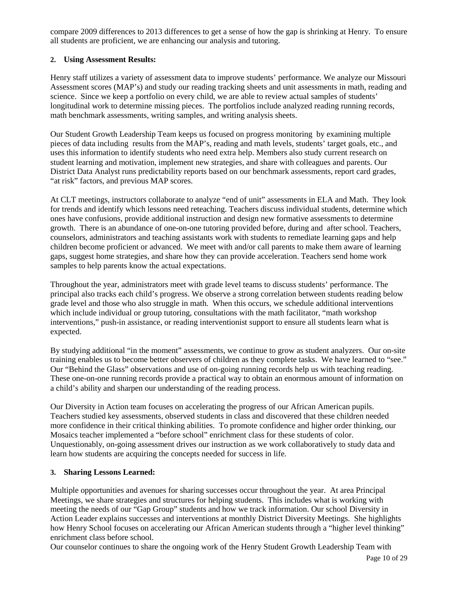compare 2009 differences to 2013 differences to get a sense of how the gap is shrinking at Henry. To ensure all students are proficient, we are enhancing our analysis and tutoring.

### **2. Using Assessment Results:**

Henry staff utilizes a variety of assessment data to improve students' performance. We analyze our Missouri Assessment scores (MAP's) and study our reading tracking sheets and unit assessments in math, reading and science. Since we keep a portfolio on every child, we are able to review actual samples of students' longitudinal work to determine missing pieces. The portfolios include analyzed reading running records, math benchmark assessments, writing samples, and writing analysis sheets.

Our Student Growth Leadership Team keeps us focused on progress monitoring by examining multiple pieces of data including results from the MAP's, reading and math levels, students' target goals, etc., and uses this information to identify students who need extra help. Members also study current research on student learning and motivation, implement new strategies, and share with colleagues and parents. Our District Data Analyst runs predictability reports based on our benchmark assessments, report card grades, "at risk" factors, and previous MAP scores.

At CLT meetings, instructors collaborate to analyze "end of unit" assessments in ELA and Math. They look for trends and identify which lessons need reteaching. Teachers discuss individual students, determine which ones have confusions, provide additional instruction and design new formative assessments to determine growth. There is an abundance of one-on-one tutoring provided before, during and after school. Teachers, counselors, administrators and teaching assistants work with students to remediate learning gaps and help children become proficient or advanced. We meet with and/or call parents to make them aware of learning gaps, suggest home strategies, and share how they can provide acceleration. Teachers send home work samples to help parents know the actual expectations.

Throughout the year, administrators meet with grade level teams to discuss students' performance. The principal also tracks each child's progress. We observe a strong correlation between students reading below grade level and those who also struggle in math. When this occurs, we schedule additional interventions which include individual or group tutoring, consultations with the math facilitator, "math workshop interventions," push-in assistance, or reading interventionist support to ensure all students learn what is expected.

By studying additional "in the moment" assessments, we continue to grow as student analyzers. Our on-site training enables us to become better observers of children as they complete tasks. We have learned to "see." Our "Behind the Glass" observations and use of on-going running records help us with teaching reading. These one-on-one running records provide a practical way to obtain an enormous amount of information on a child's ability and sharpen our understanding of the reading process.

Our Diversity in Action team focuses on accelerating the progress of our African American pupils. Teachers studied key assessments, observed students in class and discovered that these children needed more confidence in their critical thinking abilities. To promote confidence and higher order thinking, our Mosaics teacher implemented a "before school" enrichment class for these students of color. Unquestionably, on-going assessment drives our instruction as we work collaboratively to study data and learn how students are acquiring the concepts needed for success in life.

### **3. Sharing Lessons Learned:**

Multiple opportunities and avenues for sharing successes occur throughout the year. At area Principal Meetings, we share strategies and structures for helping students. This includes what is working with meeting the needs of our "Gap Group" students and how we track information. Our school Diversity in Action Leader explains successes and interventions at monthly District Diversity Meetings. She highlights how Henry School focuses on accelerating our African American students through a "higher level thinking" enrichment class before school.

Our counselor continues to share the ongoing work of the Henry Student Growth Leadership Team with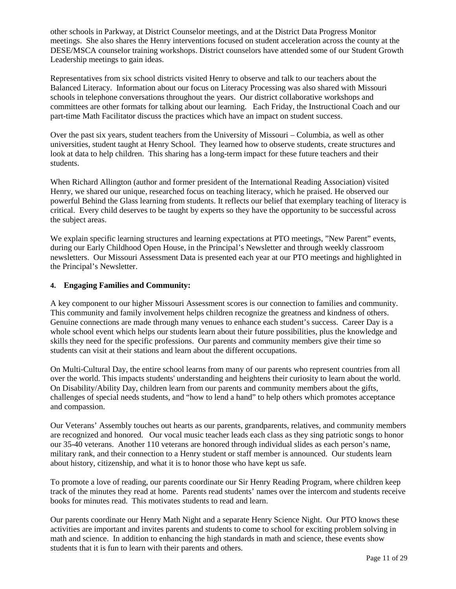other schools in Parkway, at District Counselor meetings, and at the District Data Progress Monitor meetings. She also shares the Henry interventions focused on student acceleration across the county at the DESE/MSCA counselor training workshops. District counselors have attended some of our Student Growth Leadership meetings to gain ideas.

Representatives from six school districts visited Henry to observe and talk to our teachers about the Balanced Literacy. Information about our focus on Literacy Processing was also shared with Missouri schools in telephone conversations throughout the years. Our district collaborative workshops and committees are other formats for talking about our learning. Each Friday, the Instructional Coach and our part-time Math Facilitator discuss the practices which have an impact on student success.

Over the past six years, student teachers from the University of Missouri – Columbia, as well as other universities, student taught at Henry School. They learned how to observe students, create structures and look at data to help children. This sharing has a long-term impact for these future teachers and their students.

When Richard Allington (author and former president of the International Reading Association) visited Henry, we shared our unique, researched focus on teaching literacy, which he praised. He observed our powerful Behind the Glass learning from students. It reflects our belief that exemplary teaching of literacy is critical. Every child deserves to be taught by experts so they have the opportunity to be successful across the subject areas.

We explain specific learning structures and learning expectations at PTO meetings, "New Parent" events, during our Early Childhood Open House, in the Principal's Newsletter and through weekly classroom newsletters. Our Missouri Assessment Data is presented each year at our PTO meetings and highlighted in the Principal's Newsletter.

#### **4. Engaging Families and Community:**

A key component to our higher Missouri Assessment scores is our connection to families and community. This community and family involvement helps children recognize the greatness and kindness of others. Genuine connections are made through many venues to enhance each student's success. Career Day is a whole school event which helps our students learn about their future possibilities, plus the knowledge and skills they need for the specific professions. Our parents and community members give their time so students can visit at their stations and learn about the different occupations.

On Multi-Cultural Day, the entire school learns from many of our parents who represent countries from all over the world. This impacts students' understanding and heightens their curiosity to learn about the world. On Disability/Ability Day, children learn from our parents and community members about the gifts, challenges of special needs students, and "how to lend a hand" to help others which promotes acceptance and compassion.

Our Veterans' Assembly touches out hearts as our parents, grandparents, relatives, and community members are recognized and honored. Our vocal music teacher leads each class as they sing patriotic songs to honor our 35-40 veterans. Another 110 veterans are honored through individual slides as each person's name, military rank, and their connection to a Henry student or staff member is announced. Our students learn about history, citizenship, and what it is to honor those who have kept us safe.

To promote a love of reading, our parents coordinate our Sir Henry Reading Program, where children keep track of the minutes they read at home. Parents read students' names over the intercom and students receive books for minutes read. This motivates students to read and learn.

Our parents coordinate our Henry Math Night and a separate Henry Science Night. Our PTO knows these activities are important and invites parents and students to come to school for exciting problem solving in math and science. In addition to enhancing the high standards in math and science, these events show students that it is fun to learn with their parents and others.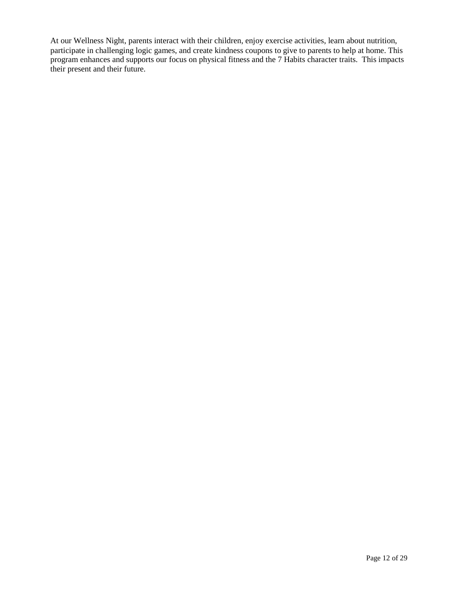At our Wellness Night, parents interact with their children, enjoy exercise activities, learn about nutrition, participate in challenging logic games, and create kindness coupons to give to parents to help at home. This program enhances and supports our focus on physical fitness and the 7 Habits character traits. This impacts their present and their future.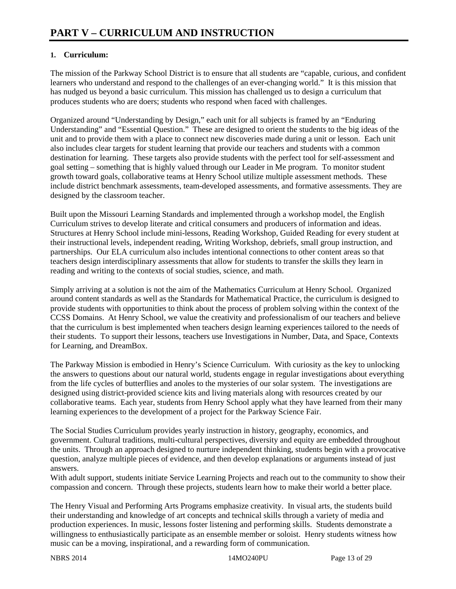### **1. Curriculum:**

The mission of the Parkway School District is to ensure that all students are "capable, curious, and confident learners who understand and respond to the challenges of an ever-changing world." It is this mission that has nudged us beyond a basic curriculum. This mission has challenged us to design a curriculum that produces students who are doers; students who respond when faced with challenges.

Organized around "Understanding by Design," each unit for all subjects is framed by an "Enduring Understanding" and "Essential Question." These are designed to orient the students to the big ideas of the unit and to provide them with a place to connect new discoveries made during a unit or lesson. Each unit also includes clear targets for student learning that provide our teachers and students with a common destination for learning. These targets also provide students with the perfect tool for self-assessment and goal setting – something that is highly valued through our Leader in Me program. To monitor student growth toward goals, collaborative teams at Henry School utilize multiple assessment methods. These include district benchmark assessments, team-developed assessments, and formative assessments. They are designed by the classroom teacher.

Built upon the Missouri Learning Standards and implemented through a workshop model, the English Curriculum strives to develop literate and critical consumers and producers of information and ideas. Structures at Henry School include mini-lessons, Reading Workshop, Guided Reading for every student at their instructional levels, independent reading, Writing Workshop, debriefs, small group instruction, and partnerships. Our ELA curriculum also includes intentional connections to other content areas so that teachers design interdisciplinary assessments that allow for students to transfer the skills they learn in reading and writing to the contexts of social studies, science, and math.

Simply arriving at a solution is not the aim of the Mathematics Curriculum at Henry School. Organized around content standards as well as the Standards for Mathematical Practice, the curriculum is designed to provide students with opportunities to think about the process of problem solving within the context of the CCSS Domains. At Henry School, we value the creativity and professionalism of our teachers and believe that the curriculum is best implemented when teachers design learning experiences tailored to the needs of their students. To support their lessons, teachers use Investigations in Number, Data, and Space, Contexts for Learning, and DreamBox.

The Parkway Mission is embodied in Henry's Science Curriculum. With curiosity as the key to unlocking the answers to questions about our natural world, students engage in regular investigations about everything from the life cycles of butterflies and anoles to the mysteries of our solar system. The investigations are designed using district-provided science kits and living materials along with resources created by our collaborative teams. Each year, students from Henry School apply what they have learned from their many learning experiences to the development of a project for the Parkway Science Fair.

The Social Studies Curriculum provides yearly instruction in history, geography, economics, and government. Cultural traditions, multi-cultural perspectives, diversity and equity are embedded throughout the units. Through an approach designed to nurture independent thinking, students begin with a provocative question, analyze multiple pieces of evidence, and then develop explanations or arguments instead of just answers.

With adult support, students initiate Service Learning Projects and reach out to the community to show their compassion and concern. Through these projects, students learn how to make their world a better place.

The Henry Visual and Performing Arts Programs emphasize creativity. In visual arts, the students build their understanding and knowledge of art concepts and technical skills through a variety of media and production experiences. In music, lessons foster listening and performing skills. Students demonstrate a willingness to enthusiastically participate as an ensemble member or soloist. Henry students witness how music can be a moving, inspirational, and a rewarding form of communication.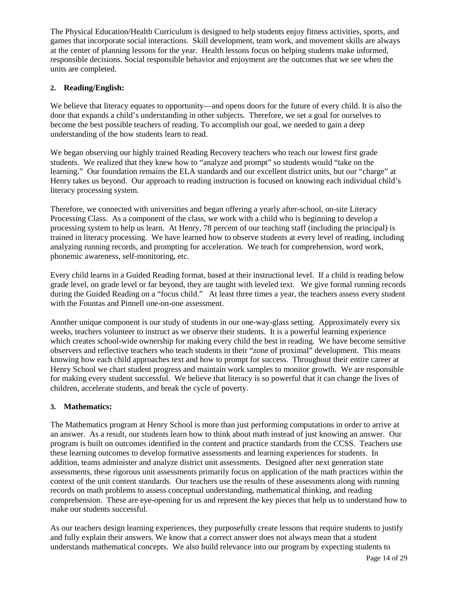The Physical Education/Health Curriculum is designed to help students enjoy fitness activities, sports, and games that incorporate social interactions. Skill development, team work, and movement skills are always at the center of planning lessons for the year. Health lessons focus on helping students make informed, responsible decisions. Social responsible behavior and enjoyment are the outcomes that we see when the units are completed.

#### **2. Reading/English:**

We believe that literacy equates to opportunity—and opens doors for the future of every child. It is also the door that expands a child's understanding in other subjects. Therefore, we set a goal for ourselves to become the best possible teachers of reading. To accomplish our goal, we needed to gain a deep understanding of the how students learn to read.

We began observing our highly trained Reading Recovery teachers who teach our lowest first grade students. We realized that they knew how to "analyze and prompt" so students would "take on the learning." Our foundation remains the ELA standards and our excellent district units, but our "charge" at Henry takes us beyond. Our approach to reading instruction is focused on knowing each individual child's literacy processing system.

Therefore, we connected with universities and began offering a yearly after-school, on-site Literacy Processing Class. As a component of the class, we work with a child who is beginning to develop a processing system to help us learn. At Henry, 78 percent of our teaching staff (including the principal) is trained in literacy processing. We have learned how to observe students at every level of reading, including analyzing running records, and prompting for acceleration. We teach for comprehension, word work, phonemic awareness, self-monitoring, etc.

Every child learns in a Guided Reading format, based at their instructional level. If a child is reading below grade level, on grade level or far beyond, they are taught with leveled text. We give formal running records during the Guided Reading on a "focus child." At least three times a year, the teachers assess every student with the Fountas and Pinnell one-on-one assessment.

Another unique component is our study of students in our one-way-glass setting. Approximately every six weeks, teachers volunteer to instruct as we observe their students. It is a powerful learning experience which creates school-wide ownership for making every child the best in reading. We have become sensitive observers and reflective teachers who teach students in their "zone of proximal" development. This means knowing how each child approaches text and how to prompt for success. Throughout their entire career at Henry School we chart student progress and maintain work samples to monitor growth. We are responsible for making every student successful. We believe that literacy is so powerful that it can change the lives of children, accelerate students, and break the cycle of poverty.

### **3. Mathematics:**

The Mathematics program at Henry School is more than just performing computations in order to arrive at an answer. As a result, our students learn how to think about math instead of just knowing an answer. Our program is built on outcomes identified in the content and practice standards from the CCSS. Teachers use these learning outcomes to develop formative assessments and learning experiences for students. In addition, teams administer and analyze district unit assessments. Designed after next generation state assessments, these rigorous unit assessments primarily focus on application of the math practices within the context of the unit content standards. Our teachers use the results of these assessments along with running records on math problems to assess conceptual understanding, mathematical thinking, and reading comprehension. These are eye-opening for us and represent the key pieces that help us to understand how to make our students successful.

As our teachers design learning experiences, they purposefully create lessons that require students to justify and fully explain their answers. We know that a correct answer does not always mean that a student understands mathematical concepts. We also build relevance into our program by expecting students to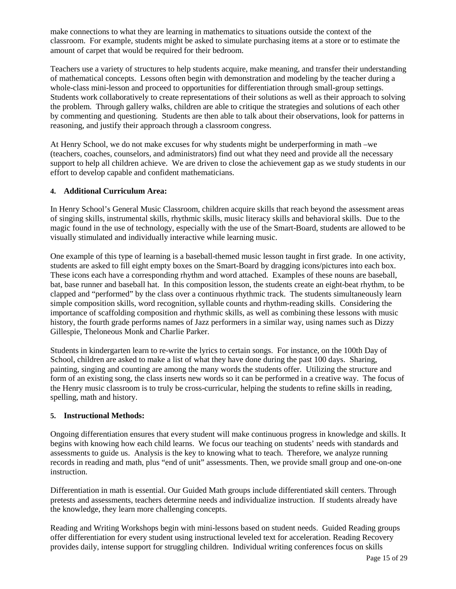make connections to what they are learning in mathematics to situations outside the context of the classroom. For example, students might be asked to simulate purchasing items at a store or to estimate the amount of carpet that would be required for their bedroom.

Teachers use a variety of structures to help students acquire, make meaning, and transfer their understanding of mathematical concepts. Lessons often begin with demonstration and modeling by the teacher during a whole-class mini-lesson and proceed to opportunities for differentiation through small-group settings. Students work collaboratively to create representations of their solutions as well as their approach to solving the problem. Through gallery walks, children are able to critique the strategies and solutions of each other by commenting and questioning. Students are then able to talk about their observations, look for patterns in reasoning, and justify their approach through a classroom congress.

At Henry School, we do not make excuses for why students might be underperforming in math –we (teachers, coaches, counselors, and administrators) find out what they need and provide all the necessary support to help all children achieve. We are driven to close the achievement gap as we study students in our effort to develop capable and confident mathematicians.

#### **4. Additional Curriculum Area:**

In Henry School's General Music Classroom, children acquire skills that reach beyond the assessment areas of singing skills, instrumental skills, rhythmic skills, music literacy skills and behavioral skills. Due to the magic found in the use of technology, especially with the use of the Smart-Board, students are allowed to be visually stimulated and individually interactive while learning music.

One example of this type of learning is a baseball-themed music lesson taught in first grade. In one activity, students are asked to fill eight empty boxes on the Smart-Board by dragging icons/pictures into each box. These icons each have a corresponding rhythm and word attached. Examples of these nouns are baseball, bat, base runner and baseball hat. In this composition lesson, the students create an eight-beat rhythm, to be clapped and "performed" by the class over a continuous rhythmic track. The students simultaneously learn simple composition skills, word recognition, syllable counts and rhythm-reading skills. Considering the importance of scaffolding composition and rhythmic skills, as well as combining these lessons with music history, the fourth grade performs names of Jazz performers in a similar way, using names such as Dizzy Gillespie, Theloneous Monk and Charlie Parker.

Students in kindergarten learn to re-write the lyrics to certain songs. For instance, on the 100th Day of School, children are asked to make a list of what they have done during the past 100 days. Sharing, painting, singing and counting are among the many words the students offer. Utilizing the structure and form of an existing song, the class inserts new words so it can be performed in a creative way. The focus of the Henry music classroom is to truly be cross-curricular, helping the students to refine skills in reading, spelling, math and history.

#### **5. Instructional Methods:**

Ongoing differentiation ensures that every student will make continuous progress in knowledge and skills. It begins with knowing how each child learns. We focus our teaching on students' needs with standards and assessments to guide us. Analysis is the key to knowing what to teach. Therefore, we analyze running records in reading and math, plus "end of unit" assessments. Then, we provide small group and one-on-one instruction.

Differentiation in math is essential. Our Guided Math groups include differentiated skill centers. Through pretests and assessments, teachers determine needs and individualize instruction. If students already have the knowledge, they learn more challenging concepts.

Reading and Writing Workshops begin with mini-lessons based on student needs. Guided Reading groups offer differentiation for every student using instructional leveled text for acceleration. Reading Recovery provides daily, intense support for struggling children. Individual writing conferences focus on skills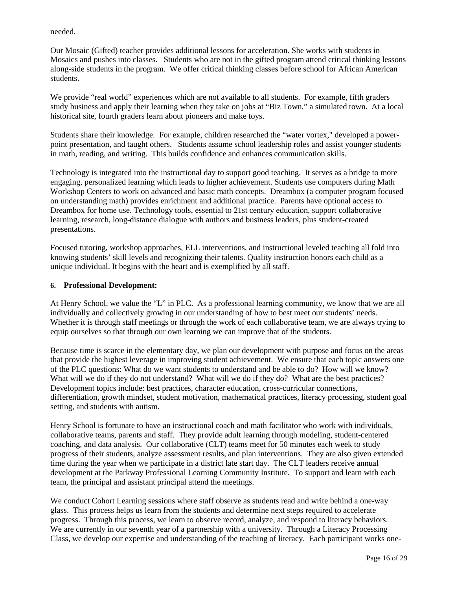needed.

Our Mosaic (Gifted) teacher provides additional lessons for acceleration. She works with students in Mosaics and pushes into classes. Students who are not in the gifted program attend critical thinking lessons along-side students in the program. We offer critical thinking classes before school for African American students.

We provide "real world" experiences which are not available to all students. For example, fifth graders study business and apply their learning when they take on jobs at "Biz Town," a simulated town. At a local historical site, fourth graders learn about pioneers and make toys.

Students share their knowledge. For example, children researched the "water vortex," developed a powerpoint presentation, and taught others. Students assume school leadership roles and assist younger students in math, reading, and writing. This builds confidence and enhances communication skills.

Technology is integrated into the instructional day to support good teaching. It serves as a bridge to more engaging, personalized learning which leads to higher achievement. Students use computers during Math Workshop Centers to work on advanced and basic math concepts. Dreambox (a computer program focused on understanding math) provides enrichment and additional practice. Parents have optional access to Dreambox for home use. Technology tools, essential to 21st century education, support collaborative learning, research, long-distance dialogue with authors and business leaders, plus student-created presentations.

Focused tutoring, workshop approaches, ELL interventions, and instructional leveled teaching all fold into knowing students' skill levels and recognizing their talents. Quality instruction honors each child as a unique individual. It begins with the heart and is exemplified by all staff.

#### **6. Professional Development:**

At Henry School, we value the "L" in PLC. As a professional learning community, we know that we are all individually and collectively growing in our understanding of how to best meet our students' needs. Whether it is through staff meetings or through the work of each collaborative team, we are always trying to equip ourselves so that through our own learning we can improve that of the students.

Because time is scarce in the elementary day, we plan our development with purpose and focus on the areas that provide the highest leverage in improving student achievement. We ensure that each topic answers one of the PLC questions: What do we want students to understand and be able to do? How will we know? What will we do if they do not understand? What will we do if they do? What are the best practices? Development topics include: best practices, character education, cross-curricular connections, differentiation, growth mindset, student motivation, mathematical practices, literacy processing, student goal setting, and students with autism.

Henry School is fortunate to have an instructional coach and math facilitator who work with individuals, collaborative teams, parents and staff. They provide adult learning through modeling, student-centered coaching, and data analysis. Our collaborative (CLT) teams meet for 50 minutes each week to study progress of their students, analyze assessment results, and plan interventions. They are also given extended time during the year when we participate in a district late start day. The CLT leaders receive annual development at the Parkway Professional Learning Community Institute. To support and learn with each team, the principal and assistant principal attend the meetings.

We conduct Cohort Learning sessions where staff observe as students read and write behind a one-way glass. This process helps us learn from the students and determine next steps required to accelerate progress. Through this process, we learn to observe record, analyze, and respond to literacy behaviors. We are currently in our seventh year of a partnership with a university. Through a Literacy Processing Class, we develop our expertise and understanding of the teaching of literacy. Each participant works one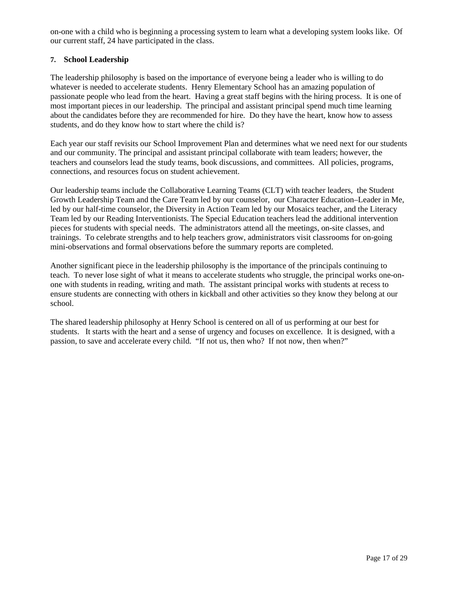on-one with a child who is beginning a processing system to learn what a developing system looks like. Of our current staff, 24 have participated in the class.

### **7. School Leadership**

The leadership philosophy is based on the importance of everyone being a leader who is willing to do whatever is needed to accelerate students. Henry Elementary School has an amazing population of passionate people who lead from the heart. Having a great staff begins with the hiring process. It is one of most important pieces in our leadership. The principal and assistant principal spend much time learning about the candidates before they are recommended for hire. Do they have the heart, know how to assess students, and do they know how to start where the child is?

Each year our staff revisits our School Improvement Plan and determines what we need next for our students and our community. The principal and assistant principal collaborate with team leaders; however, the teachers and counselors lead the study teams, book discussions, and committees. All policies, programs, connections, and resources focus on student achievement.

Our leadership teams include the Collaborative Learning Teams (CLT) with teacher leaders, the Student Growth Leadership Team and the Care Team led by our counselor, our Character Education–Leader in Me, led by our half-time counselor, the Diversity in Action Team led by our Mosaics teacher, and the Literacy Team led by our Reading Interventionists. The Special Education teachers lead the additional intervention pieces for students with special needs. The administrators attend all the meetings, on-site classes, and trainings. To celebrate strengths and to help teachers grow, administrators visit classrooms for on-going mini-observations and formal observations before the summary reports are completed.

Another significant piece in the leadership philosophy is the importance of the principals continuing to teach. To never lose sight of what it means to accelerate students who struggle, the principal works one-onone with students in reading, writing and math. The assistant principal works with students at recess to ensure students are connecting with others in kickball and other activities so they know they belong at our school.

The shared leadership philosophy at Henry School is centered on all of us performing at our best for students. It starts with the heart and a sense of urgency and focuses on excellence. It is designed, with a passion, to save and accelerate every child. "If not us, then who? If not now, then when?"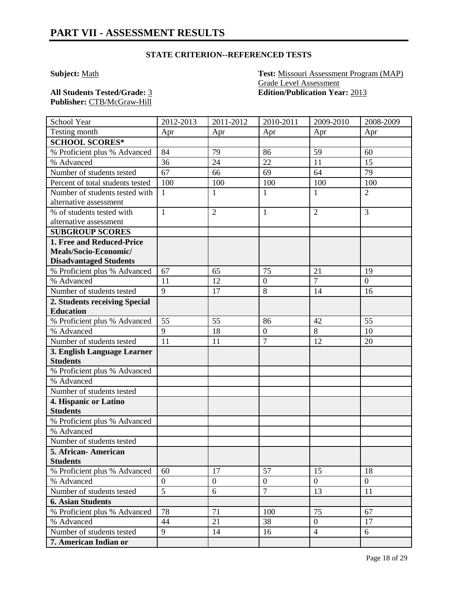**Subject:** Math **Test:** Missouri Assessment Program (MAP) Grade Level Assessment **All Students Tested/Grade:** 3 **Edition/Publication Year:** 2013

**Publisher:** CTB/McGraw-Hill

| School Year                      | 2012-2013      | 2011-2012      | 2010-2011        | 2009-2010      | 2008-2009      |
|----------------------------------|----------------|----------------|------------------|----------------|----------------|
| Testing month                    | Apr            | Apr            | Apr              | Apr            | Apr            |
| <b>SCHOOL SCORES*</b>            |                |                |                  |                |                |
| % Proficient plus % Advanced     | 84             | 79             | 86               | 59             | 60             |
| % Advanced                       | 36             | 24             | 22               | 11             | 15             |
| Number of students tested        | 67             | 66             | 69               | 64             | 79             |
| Percent of total students tested | 100            | 100            | 100              | 100            | 100            |
| Number of students tested with   | $\mathbf{1}$   | $\mathbf{1}$   | $\mathbf{1}$     | 1              | $\overline{2}$ |
| alternative assessment           |                |                |                  |                |                |
| % of students tested with        | $\mathbf{1}$   | $\overline{2}$ | $\mathbf{1}$     | $\overline{2}$ | $\overline{3}$ |
| alternative assessment           |                |                |                  |                |                |
| <b>SUBGROUP SCORES</b>           |                |                |                  |                |                |
| 1. Free and Reduced-Price        |                |                |                  |                |                |
| Meals/Socio-Economic/            |                |                |                  |                |                |
| <b>Disadvantaged Students</b>    |                |                |                  |                |                |
| % Proficient plus % Advanced     | 67             | 65             | 75               | 21             | 19             |
| % Advanced                       | 11             | 12             | $\boldsymbol{0}$ | $\overline{7}$ | $\theta$       |
| Number of students tested        | $\overline{9}$ | 17             | 8                | 14             | 16             |
| 2. Students receiving Special    |                |                |                  |                |                |
| <b>Education</b>                 |                |                |                  |                |                |
| % Proficient plus % Advanced     | 55             | 55             | 86               | 42             | 55             |
| % Advanced                       | 9              | 18             | $\boldsymbol{0}$ | 8              | 10             |
| Number of students tested        | 11             | 11             | $\overline{7}$   | 12             | 20             |
| 3. English Language Learner      |                |                |                  |                |                |
| <b>Students</b>                  |                |                |                  |                |                |
| % Proficient plus % Advanced     |                |                |                  |                |                |
| % Advanced                       |                |                |                  |                |                |
| Number of students tested        |                |                |                  |                |                |
| 4. Hispanic or Latino            |                |                |                  |                |                |
| <b>Students</b>                  |                |                |                  |                |                |
| % Proficient plus % Advanced     |                |                |                  |                |                |
| % Advanced                       |                |                |                  |                |                |
| Number of students tested        |                |                |                  |                |                |
| 5. African-American              |                |                |                  |                |                |
| <b>Students</b>                  |                |                |                  |                |                |
| % Proficient plus % Advanced     | 60             | 17             | 57               | 15             | 18             |
| % Advanced                       | $\overline{0}$ | $\overline{0}$ | $\boldsymbol{0}$ | $\overline{0}$ | $\overline{0}$ |
| Number of students tested        | 5              | 6              | $\overline{7}$   | 13             | 11             |
| <b>6. Asian Students</b>         |                |                |                  |                |                |
| % Proficient plus % Advanced     | 78             | 71             | 100              | 75             | 67             |
| % Advanced                       | 44             | 21             | 38               | $\overline{0}$ | 17             |
| Number of students tested        | 9              | 14             | 16               | $\overline{4}$ | 6              |
| 7. American Indian or            |                |                |                  |                |                |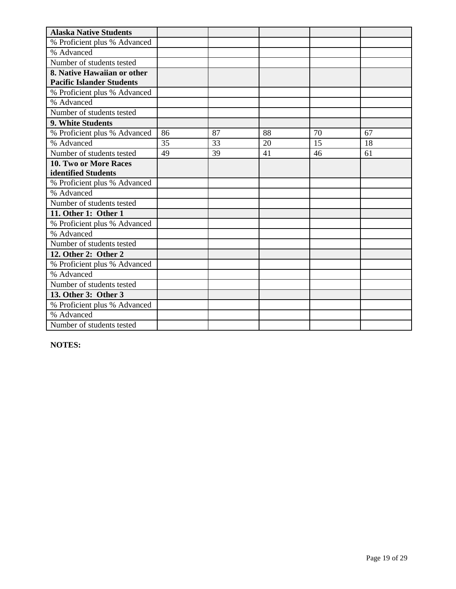| <b>Alaska Native Students</b>    |    |    |    |    |    |
|----------------------------------|----|----|----|----|----|
| % Proficient plus % Advanced     |    |    |    |    |    |
| % Advanced                       |    |    |    |    |    |
| Number of students tested        |    |    |    |    |    |
| 8. Native Hawaiian or other      |    |    |    |    |    |
| <b>Pacific Islander Students</b> |    |    |    |    |    |
| % Proficient plus % Advanced     |    |    |    |    |    |
| % Advanced                       |    |    |    |    |    |
| Number of students tested        |    |    |    |    |    |
| 9. White Students                |    |    |    |    |    |
| % Proficient plus % Advanced     | 86 | 87 | 88 | 70 | 67 |
| % Advanced                       | 35 | 33 | 20 | 15 | 18 |
| Number of students tested        | 49 | 39 | 41 | 46 | 61 |
| 10. Two or More Races            |    |    |    |    |    |
| identified Students              |    |    |    |    |    |
| % Proficient plus % Advanced     |    |    |    |    |    |
| % Advanced                       |    |    |    |    |    |
| Number of students tested        |    |    |    |    |    |
| 11. Other 1: Other 1             |    |    |    |    |    |
| % Proficient plus % Advanced     |    |    |    |    |    |
| % Advanced                       |    |    |    |    |    |
| Number of students tested        |    |    |    |    |    |
| 12. Other 2: Other 2             |    |    |    |    |    |
| % Proficient plus % Advanced     |    |    |    |    |    |
| % Advanced                       |    |    |    |    |    |
| Number of students tested        |    |    |    |    |    |
| 13. Other 3: Other 3             |    |    |    |    |    |
| % Proficient plus % Advanced     |    |    |    |    |    |
| % Advanced                       |    |    |    |    |    |
| Number of students tested        |    |    |    |    |    |

**NOTES:**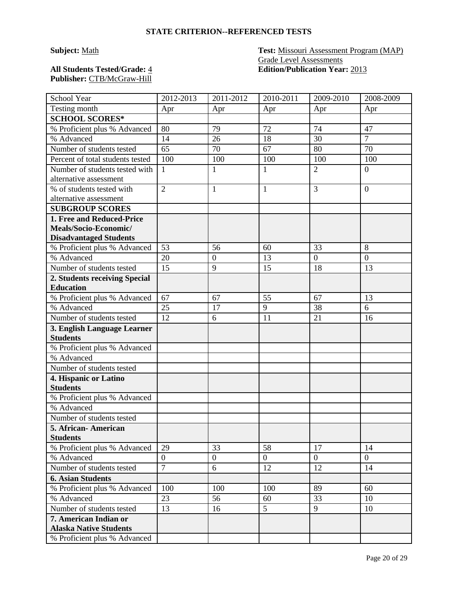# **Publisher:** CTB/McGraw-Hill

### **Subject:** Math **Test:** Missouri Assessment Program (MAP) Grade Level Assessments **All Students Tested/Grade:** 4 **Edition/Publication Year:** 2013

| School Year                                            | 2012-2013                        | 2011-2012        | 2010-2011    | 2009-2010      | 2008-2009        |
|--------------------------------------------------------|----------------------------------|------------------|--------------|----------------|------------------|
| Testing month                                          | Apr                              | Apr              | Apr          | Apr            | Apr              |
| <b>SCHOOL SCORES*</b>                                  |                                  |                  |              |                |                  |
| % Proficient plus % Advanced                           | 80                               | 79               | 72           | 74             | 47               |
| % Advanced                                             | 14                               | 26               | 18           | 30             | $\overline{7}$   |
| Number of students tested                              | 65                               | 70               | 67           | 80             | 70               |
| Percent of total students tested                       | 100                              | 100              | 100          | 100            | 100              |
| Number of students tested with                         | $\mathbf{1}$                     | 1                | 1            | $\overline{2}$ | $\overline{0}$   |
| alternative assessment                                 |                                  |                  |              |                |                  |
| % of students tested with                              | $\overline{2}$                   | $\mathbf{1}$     | $\mathbf{1}$ | 3              | $\overline{0}$   |
| alternative assessment                                 |                                  |                  |              |                |                  |
| <b>SUBGROUP SCORES</b>                                 |                                  |                  |              |                |                  |
| 1. Free and Reduced-Price                              |                                  |                  |              |                |                  |
| Meals/Socio-Economic/                                  |                                  |                  |              |                |                  |
| <b>Disadvantaged Students</b>                          |                                  |                  |              |                |                  |
| % Proficient plus % Advanced                           | 53                               | 56               | 60           | 33             | 8                |
| % Advanced                                             | 20                               | $\mathbf{0}$     | 13           | $\overline{0}$ | $\boldsymbol{0}$ |
| Number of students tested                              | 15                               | 9                | 15           | 18             | 13               |
| 2. Students receiving Special                          |                                  |                  |              |                |                  |
| <b>Education</b>                                       |                                  |                  |              |                |                  |
| % Proficient plus % Advanced                           | 67                               | 67               | 55           | 67             | 13               |
| % Advanced                                             | 25                               | 17               | 9            | 38             | 6                |
| Number of students tested                              | 12                               | 6                | 11           | 21             | 16               |
| 3. English Language Learner                            |                                  |                  |              |                |                  |
| <b>Students</b>                                        |                                  |                  |              |                |                  |
| % Proficient plus % Advanced                           |                                  |                  |              |                |                  |
| % Advanced                                             |                                  |                  |              |                |                  |
| Number of students tested                              |                                  |                  |              |                |                  |
| 4. Hispanic or Latino                                  |                                  |                  |              |                |                  |
| <b>Students</b>                                        |                                  |                  |              |                |                  |
| % Proficient plus % Advanced                           |                                  |                  |              |                |                  |
| % Advanced                                             |                                  |                  |              |                |                  |
| Number of students tested                              |                                  |                  |              |                |                  |
| 5. African- American                                   |                                  |                  |              |                |                  |
| <b>Students</b><br>% Proficient plus % Advanced        | 29                               | 33               | 58           | 17             | 14               |
|                                                        |                                  |                  |              | $\overline{0}$ | $\overline{0}$   |
| % Advanced                                             | $\overline{0}$<br>$\overline{7}$ | $\boldsymbol{0}$ | $\mathbf{0}$ |                |                  |
| Number of students tested                              |                                  | 6                | 12           | 12             | 14               |
| <b>6. Asian Students</b>                               |                                  |                  |              |                |                  |
| % Proficient plus % Advanced                           | 100                              | 100              | 100          | 89             | 60               |
| % Advanced                                             | 23                               | 56               | 60           | 33             | 10               |
| Number of students tested                              | 13                               | 16               | 5            | 9              | 10               |
| 7. American Indian or<br><b>Alaska Native Students</b> |                                  |                  |              |                |                  |
|                                                        |                                  |                  |              |                |                  |
| % Proficient plus % Advanced                           |                                  |                  |              |                |                  |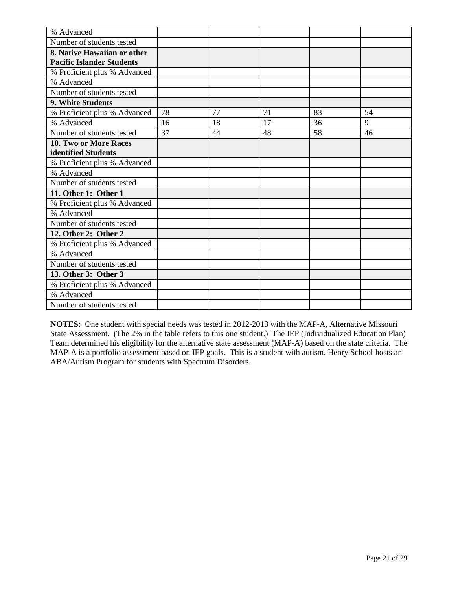| % Advanced                       |    |    |    |    |    |
|----------------------------------|----|----|----|----|----|
| Number of students tested        |    |    |    |    |    |
| 8. Native Hawaiian or other      |    |    |    |    |    |
| <b>Pacific Islander Students</b> |    |    |    |    |    |
| % Proficient plus % Advanced     |    |    |    |    |    |
| % Advanced                       |    |    |    |    |    |
| Number of students tested        |    |    |    |    |    |
| 9. White Students                |    |    |    |    |    |
| % Proficient plus % Advanced     | 78 | 77 | 71 | 83 | 54 |
| % Advanced                       | 16 | 18 | 17 | 36 | 9  |
| Number of students tested        | 37 | 44 | 48 | 58 | 46 |
| 10. Two or More Races            |    |    |    |    |    |
| identified Students              |    |    |    |    |    |
| % Proficient plus % Advanced     |    |    |    |    |    |
| % Advanced                       |    |    |    |    |    |
| Number of students tested        |    |    |    |    |    |
| 11. Other 1: Other 1             |    |    |    |    |    |
| % Proficient plus % Advanced     |    |    |    |    |    |
| % Advanced                       |    |    |    |    |    |
| Number of students tested        |    |    |    |    |    |
| 12. Other 2: Other 2             |    |    |    |    |    |
| % Proficient plus % Advanced     |    |    |    |    |    |
| % Advanced                       |    |    |    |    |    |
| Number of students tested        |    |    |    |    |    |
| 13. Other 3: Other 3             |    |    |    |    |    |
| % Proficient plus % Advanced     |    |    |    |    |    |
| % Advanced                       |    |    |    |    |    |
| Number of students tested        |    |    |    |    |    |

**NOTES:** One student with special needs was tested in 2012-2013 with the MAP-A, Alternative Missouri State Assessment. (The 2% in the table refers to this one student.) The IEP (Individualized Education Plan) Team determined his eligibility for the alternative state assessment (MAP-A) based on the state criteria. The MAP-A is a portfolio assessment based on IEP goals. This is a student with autism. Henry School hosts an ABA/Autism Program for students with Spectrum Disorders.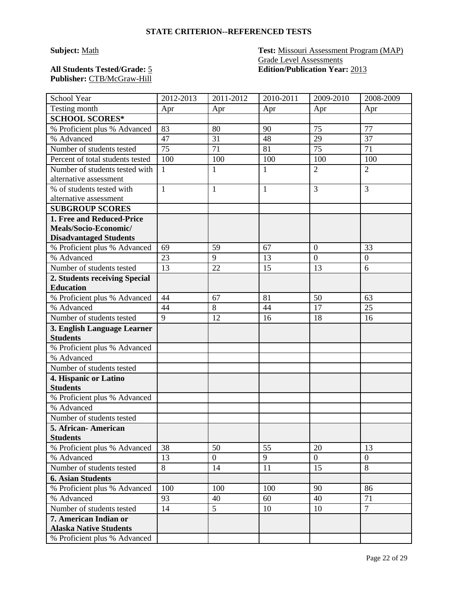# **Publisher:** CTB/McGraw-Hill

### **Subject:** Math **Test:** Missouri Assessment Program (MAP) Grade Level Assessments **All Students Tested/Grade:** 5 **Edition/Publication Year:** 2013

| School Year                                | 2012-2013    | 2011-2012        | 2010-2011    | 2009-2010        | 2008-2009        |
|--------------------------------------------|--------------|------------------|--------------|------------------|------------------|
| Testing month                              | Apr          | Apr              | Apr          | Apr              | Apr              |
| <b>SCHOOL SCORES*</b>                      |              |                  |              |                  |                  |
| % Proficient plus % Advanced               | 83           | 80               | 90           | 75               | 77               |
| % Advanced                                 | 47           | 31               | 48           | 29               | 37               |
| Number of students tested                  | 75           | 71               | 81           | 75               | 71               |
| Percent of total students tested           | 100          | 100              | 100          | 100              | 100              |
| Number of students tested with             | 1            | $\mathbf{1}$     | $\mathbf{1}$ | $\overline{2}$   | $\overline{2}$   |
| alternative assessment                     |              |                  |              |                  |                  |
| % of students tested with                  | $\mathbf{1}$ | $\mathbf{1}$     | $\mathbf{1}$ | 3                | 3                |
| alternative assessment                     |              |                  |              |                  |                  |
| <b>SUBGROUP SCORES</b>                     |              |                  |              |                  |                  |
| 1. Free and Reduced-Price                  |              |                  |              |                  |                  |
| Meals/Socio-Economic/                      |              |                  |              |                  |                  |
| <b>Disadvantaged Students</b>              |              |                  |              |                  |                  |
| % Proficient plus % Advanced               | 69           | 59               | 67           | $\overline{0}$   | 33               |
| % Advanced                                 | 23           | 9                | 13           | $\boldsymbol{0}$ | $\boldsymbol{0}$ |
| Number of students tested                  | 13           | 22               | 15           | 13               | 6                |
| 2. Students receiving Special              |              |                  |              |                  |                  |
| <b>Education</b>                           |              |                  |              |                  |                  |
| % Proficient plus % Advanced               | 44           | 67               | 81           | 50               | 63               |
| % Advanced                                 | 44           | 8                | 44           | 17               | 25               |
| Number of students tested                  | 9            | 12               | 16           | 18               | 16               |
| 3. English Language Learner                |              |                  |              |                  |                  |
| <b>Students</b>                            |              |                  |              |                  |                  |
| % Proficient plus % Advanced               |              |                  |              |                  |                  |
| % Advanced                                 |              |                  |              |                  |                  |
| Number of students tested                  |              |                  |              |                  |                  |
| 4. Hispanic or Latino<br><b>Students</b>   |              |                  |              |                  |                  |
|                                            |              |                  |              |                  |                  |
| % Proficient plus % Advanced<br>% Advanced |              |                  |              |                  |                  |
|                                            |              |                  |              |                  |                  |
| Number of students tested                  |              |                  |              |                  |                  |
| 5. African - American<br><b>Students</b>   |              |                  |              |                  |                  |
| % Proficient plus % Advanced               | 38           | 50               | 55           | 20               | 13               |
| % Advanced                                 | 13           | $\boldsymbol{0}$ | 9            | $\overline{0}$   | $\overline{0}$   |
| Number of students tested                  | 8            | 14               | 11           | 15               | 8                |
| <b>6. Asian Students</b>                   |              |                  |              |                  |                  |
| % Proficient plus % Advanced               | 100          | 100              | 100          | 90               | 86               |
| % Advanced                                 | 93           | 40               | 60           | 40               | 71               |
| Number of students tested                  | 14           | 5                | 10           |                  | $\overline{7}$   |
| 7. American Indian or                      |              |                  |              | 10               |                  |
| <b>Alaska Native Students</b>              |              |                  |              |                  |                  |
| % Proficient plus % Advanced               |              |                  |              |                  |                  |
|                                            |              |                  |              |                  |                  |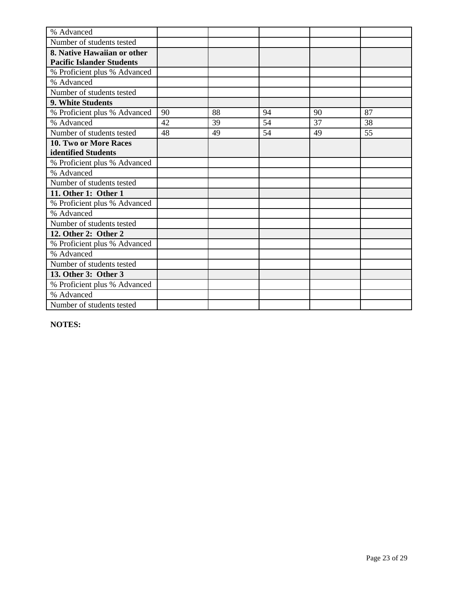| % Advanced                       |    |    |    |    |    |
|----------------------------------|----|----|----|----|----|
| Number of students tested        |    |    |    |    |    |
| 8. Native Hawaiian or other      |    |    |    |    |    |
| <b>Pacific Islander Students</b> |    |    |    |    |    |
| % Proficient plus % Advanced     |    |    |    |    |    |
| % Advanced                       |    |    |    |    |    |
| Number of students tested        |    |    |    |    |    |
| <b>9. White Students</b>         |    |    |    |    |    |
| % Proficient plus % Advanced     | 90 | 88 | 94 | 90 | 87 |
| % Advanced                       | 42 | 39 | 54 | 37 | 38 |
| Number of students tested        | 48 | 49 | 54 | 49 | 55 |
| 10. Two or More Races            |    |    |    |    |    |
| identified Students              |    |    |    |    |    |
| % Proficient plus % Advanced     |    |    |    |    |    |
| % Advanced                       |    |    |    |    |    |
| Number of students tested        |    |    |    |    |    |
| 11. Other 1: Other 1             |    |    |    |    |    |
| % Proficient plus % Advanced     |    |    |    |    |    |
| % Advanced                       |    |    |    |    |    |
| Number of students tested        |    |    |    |    |    |
| 12. Other 2: Other 2             |    |    |    |    |    |
| % Proficient plus % Advanced     |    |    |    |    |    |
| % Advanced                       |    |    |    |    |    |
| Number of students tested        |    |    |    |    |    |
| 13. Other 3: Other 3             |    |    |    |    |    |
| % Proficient plus % Advanced     |    |    |    |    |    |
| % Advanced                       |    |    |    |    |    |
| Number of students tested        |    |    |    |    |    |

**NOTES:**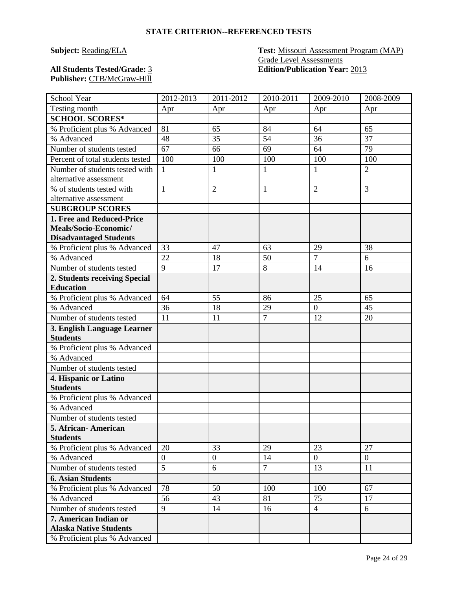#### **Subject:** Reading/ELA **Test:** Missouri Assessment Program (MAP) Grade Level Assessments **All Students Tested/Grade:** 3 **Edition/Publication Year:** 2013

**Publisher:** CTB/McGraw-Hill

| School Year                      | 2012-2013      | 2011-2012        | 2010-2011      | 2009-2010      | 2008-2009      |
|----------------------------------|----------------|------------------|----------------|----------------|----------------|
| Testing month                    | Apr            | Apr              | Apr            | Apr            | Apr            |
| <b>SCHOOL SCORES*</b>            |                |                  |                |                |                |
| % Proficient plus % Advanced     | 81             | 65               | 84             | 64             | 65             |
| % Advanced                       | 48             | 35               | 54             | 36             | 37             |
| Number of students tested        | 67             | 66               | 69             | 64             | 79             |
| Percent of total students tested | 100            | 100              | 100            | 100            | 100            |
| Number of students tested with   | $\mathbf{1}$   | $\mathbf{1}$     | $\mathbf{1}$   | $\mathbf{1}$   | $\overline{2}$ |
| alternative assessment           |                |                  |                |                |                |
| % of students tested with        | $\mathbf{1}$   | $\overline{2}$   | $\mathbf{1}$   | $\overline{2}$ | 3              |
| alternative assessment           |                |                  |                |                |                |
| <b>SUBGROUP SCORES</b>           |                |                  |                |                |                |
| 1. Free and Reduced-Price        |                |                  |                |                |                |
| Meals/Socio-Economic/            |                |                  |                |                |                |
| <b>Disadvantaged Students</b>    |                |                  |                |                |                |
| % Proficient plus % Advanced     | 33             | 47               | 63             | 29             | 38             |
| % Advanced                       | 22             | 18               | 50             | $\overline{7}$ | 6              |
| Number of students tested        | 9              | 17               | 8              | 14             | 16             |
| 2. Students receiving Special    |                |                  |                |                |                |
| <b>Education</b>                 |                |                  |                |                |                |
| % Proficient plus % Advanced     | 64             | 55               | 86             | 25             | 65             |
| % Advanced                       | 36             | 18               | 29             | $\overline{0}$ | 45             |
| Number of students tested        | 11             | 11               | $\overline{7}$ | 12             | 20             |
| 3. English Language Learner      |                |                  |                |                |                |
| <b>Students</b>                  |                |                  |                |                |                |
| % Proficient plus % Advanced     |                |                  |                |                |                |
| % Advanced                       |                |                  |                |                |                |
| Number of students tested        |                |                  |                |                |                |
| 4. Hispanic or Latino            |                |                  |                |                |                |
| <b>Students</b>                  |                |                  |                |                |                |
| % Proficient plus % Advanced     |                |                  |                |                |                |
| % Advanced                       |                |                  |                |                |                |
| Number of students tested        |                |                  |                |                |                |
| 5. African-American              |                |                  |                |                |                |
| <b>Students</b>                  |                |                  |                |                |                |
| % Proficient plus % Advanced     | 20             | 33               | 29             | 23             | 27             |
| % Advanced                       | $\overline{0}$ | $\boldsymbol{0}$ | 14             | $\overline{0}$ | $\overline{0}$ |
| Number of students tested        | $\overline{5}$ | 6                | $\overline{7}$ | 13             | 11             |
| <b>6. Asian Students</b>         |                |                  |                |                |                |
| % Proficient plus % Advanced     | 78             | 50               | 100            | 100            | 67             |
| % Advanced                       | 56             | 43               | 81             | 75             | 17             |
| Number of students tested        | 9              | 14               | 16             | $\overline{4}$ | 6              |
| 7. American Indian or            |                |                  |                |                |                |
| <b>Alaska Native Students</b>    |                |                  |                |                |                |
| % Proficient plus % Advanced     |                |                  |                |                |                |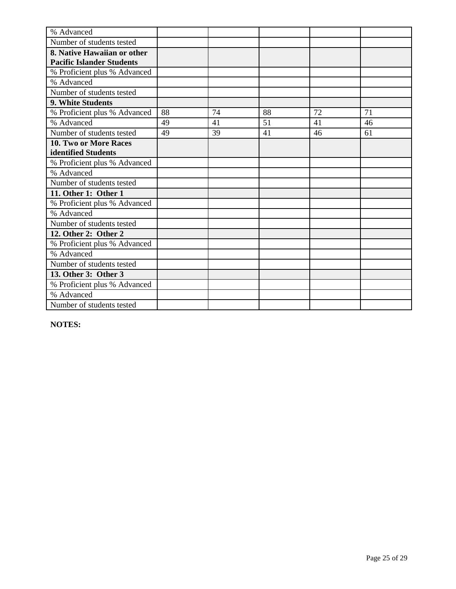| % Advanced                       |    |    |    |    |    |
|----------------------------------|----|----|----|----|----|
| Number of students tested        |    |    |    |    |    |
| 8. Native Hawaiian or other      |    |    |    |    |    |
| <b>Pacific Islander Students</b> |    |    |    |    |    |
| % Proficient plus % Advanced     |    |    |    |    |    |
| % Advanced                       |    |    |    |    |    |
| Number of students tested        |    |    |    |    |    |
| 9. White Students                |    |    |    |    |    |
| % Proficient plus % Advanced     | 88 | 74 | 88 | 72 | 71 |
| % Advanced                       | 49 | 41 | 51 | 41 | 46 |
| Number of students tested        | 49 | 39 | 41 | 46 | 61 |
| <b>10. Two or More Races</b>     |    |    |    |    |    |
| identified Students              |    |    |    |    |    |
| % Proficient plus % Advanced     |    |    |    |    |    |
| % Advanced                       |    |    |    |    |    |
| Number of students tested        |    |    |    |    |    |
| 11. Other 1: Other 1             |    |    |    |    |    |
| % Proficient plus % Advanced     |    |    |    |    |    |
| % Advanced                       |    |    |    |    |    |
| Number of students tested        |    |    |    |    |    |
| 12. Other 2: Other 2             |    |    |    |    |    |
| % Proficient plus % Advanced     |    |    |    |    |    |
| % Advanced                       |    |    |    |    |    |
| Number of students tested        |    |    |    |    |    |
| 13. Other 3: Other 3             |    |    |    |    |    |
| % Proficient plus % Advanced     |    |    |    |    |    |
| % Advanced                       |    |    |    |    |    |
| Number of students tested        |    |    |    |    |    |

**NOTES:**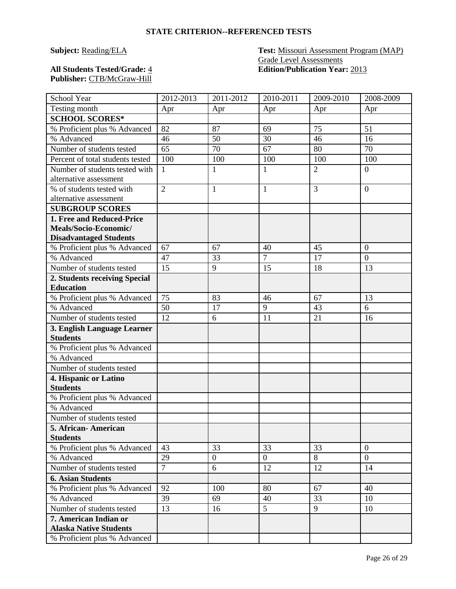#### **Subject:** Reading/ELA **Test:** Missouri Assessment Program (MAP) Grade Level Assessments **All Students Tested/Grade:** 4 **Edition/Publication Year:** 2013

**Publisher:** CTB/McGraw-Hill

| School Year                      | 2012-2013      | 2011-2012      | 2010-2011      | 2009-2010      | 2008-2009      |
|----------------------------------|----------------|----------------|----------------|----------------|----------------|
| Testing month                    | Apr            | Apr            | Apr            | Apr            | Apr            |
| <b>SCHOOL SCORES*</b>            |                |                |                |                |                |
| % Proficient plus % Advanced     | 82             | 87             | 69             | 75             | 51             |
| % Advanced                       | 46             | 50             | 30             | 46             | 16             |
| Number of students tested        | 65             | 70             | 67             | 80             | 70             |
| Percent of total students tested | 100            | 100            | 100            | 100            | 100            |
| Number of students tested with   | $\mathbf{1}$   | $\mathbf{1}$   | $\mathbf{1}$   | $\overline{2}$ | $\overline{0}$ |
| alternative assessment           |                |                |                |                |                |
| % of students tested with        | $\overline{2}$ | $\mathbf{1}$   | $\mathbf{1}$   | 3              | $\overline{0}$ |
| alternative assessment           |                |                |                |                |                |
| <b>SUBGROUP SCORES</b>           |                |                |                |                |                |
| 1. Free and Reduced-Price        |                |                |                |                |                |
| Meals/Socio-Economic/            |                |                |                |                |                |
| <b>Disadvantaged Students</b>    |                |                |                |                |                |
| % Proficient plus % Advanced     | 67             | 67             | 40             | 45             | $\overline{0}$ |
| % Advanced                       | 47             | 33             | $\overline{7}$ | 17             | $\overline{0}$ |
| Number of students tested        | 15             | 9              | 15             | 18             | 13             |
| 2. Students receiving Special    |                |                |                |                |                |
| <b>Education</b>                 |                |                |                |                |                |
| % Proficient plus % Advanced     | 75             | 83             | 46             | 67             | 13             |
| % Advanced                       | 50             | 17             | 9              | 43             | 6              |
| Number of students tested        | 12             | 6              | 11             | 21             | 16             |
| 3. English Language Learner      |                |                |                |                |                |
| <b>Students</b>                  |                |                |                |                |                |
| % Proficient plus % Advanced     |                |                |                |                |                |
| % Advanced                       |                |                |                |                |                |
| Number of students tested        |                |                |                |                |                |
| 4. Hispanic or Latino            |                |                |                |                |                |
| <b>Students</b>                  |                |                |                |                |                |
| % Proficient plus % Advanced     |                |                |                |                |                |
| % Advanced                       |                |                |                |                |                |
| Number of students tested        |                |                |                |                |                |
| 5. African-American              |                |                |                |                |                |
| <b>Students</b>                  |                |                |                |                |                |
| % Proficient plus % Advanced     | 43             | 33             | 33             | 33             | $\overline{0}$ |
| % Advanced                       | 29             | $\overline{0}$ | $\overline{0}$ | 8              | $\overline{0}$ |
| Number of students tested        | $\overline{7}$ | 6              | 12             | 12             | 14             |
| <b>6. Asian Students</b>         |                |                |                |                |                |
| % Proficient plus % Advanced     | 92             | 100            | 80             | 67             | 40             |
| % Advanced                       | 39             | 69             | 40             | 33             | 10             |
| Number of students tested        | 13             | 16             | 5              | 9              | 10             |
| 7. American Indian or            |                |                |                |                |                |
| <b>Alaska Native Students</b>    |                |                |                |                |                |
| % Proficient plus % Advanced     |                |                |                |                |                |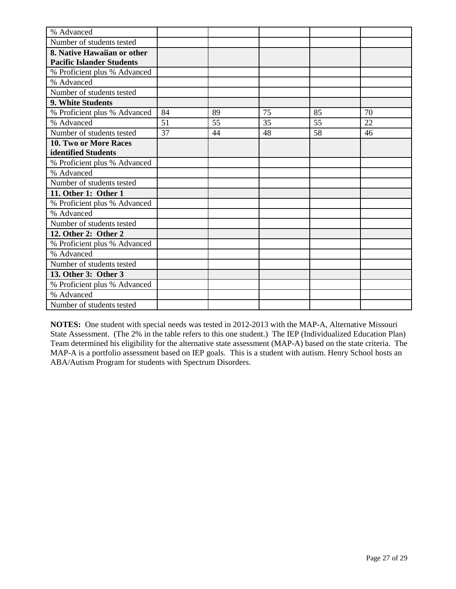| % Advanced                       |    |    |    |    |    |
|----------------------------------|----|----|----|----|----|
| Number of students tested        |    |    |    |    |    |
| 8. Native Hawaiian or other      |    |    |    |    |    |
| <b>Pacific Islander Students</b> |    |    |    |    |    |
| % Proficient plus % Advanced     |    |    |    |    |    |
| % Advanced                       |    |    |    |    |    |
| Number of students tested        |    |    |    |    |    |
| <b>9. White Students</b>         |    |    |    |    |    |
| % Proficient plus % Advanced     | 84 | 89 | 75 | 85 | 70 |
| % Advanced                       | 51 | 55 | 35 | 55 | 22 |
| Number of students tested        | 37 | 44 | 48 | 58 | 46 |
| 10. Two or More Races            |    |    |    |    |    |
| identified Students              |    |    |    |    |    |
| % Proficient plus % Advanced     |    |    |    |    |    |
| % Advanced                       |    |    |    |    |    |
| Number of students tested        |    |    |    |    |    |
| 11. Other 1: Other 1             |    |    |    |    |    |
| % Proficient plus % Advanced     |    |    |    |    |    |
| % Advanced                       |    |    |    |    |    |
| Number of students tested        |    |    |    |    |    |
| 12. Other 2: Other 2             |    |    |    |    |    |
| % Proficient plus % Advanced     |    |    |    |    |    |
| % Advanced                       |    |    |    |    |    |
| Number of students tested        |    |    |    |    |    |
| 13. Other 3: Other 3             |    |    |    |    |    |
| % Proficient plus % Advanced     |    |    |    |    |    |
| % Advanced                       |    |    |    |    |    |
| Number of students tested        |    |    |    |    |    |

**NOTES:** One student with special needs was tested in 2012-2013 with the MAP-A, Alternative Missouri State Assessment. (The 2% in the table refers to this one student.) The IEP (Individualized Education Plan) Team determined his eligibility for the alternative state assessment (MAP-A) based on the state criteria. The MAP-A is a portfolio assessment based on IEP goals. This is a student with autism. Henry School hosts an ABA/Autism Program for students with Spectrum Disorders.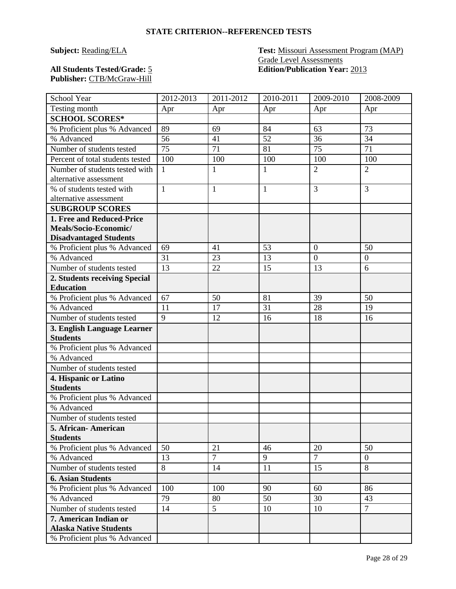#### **Subject:** Reading/ELA **Test:** Missouri Assessment Program (MAP) Grade Level Assessments **All Students Tested/Grade:** 5 **Edition/Publication Year:** 2013

**Publisher:** CTB/McGraw-Hill

| School Year                      | 2012-2013      | 2011-2012      | 2010-2011    | 2009-2010      | 2008-2009        |
|----------------------------------|----------------|----------------|--------------|----------------|------------------|
| Testing month                    | Apr            | Apr            | Apr          | Apr            | Apr              |
| <b>SCHOOL SCORES*</b>            |                |                |              |                |                  |
| % Proficient plus % Advanced     | 89             | 69             | 84           | 63             | 73               |
| % Advanced                       | 56             | 41             | 52           | 36             | 34               |
| Number of students tested        | 75             | 71             | 81           | 75             | 71               |
| Percent of total students tested | 100            | 100            | 100          | 100            | 100              |
| Number of students tested with   | $\mathbf{1}$   | $\mathbf{1}$   | $\mathbf{1}$ | $\overline{2}$ | $\overline{2}$   |
| alternative assessment           |                |                |              |                |                  |
| % of students tested with        | $\mathbf{1}$   | $\mathbf{1}$   | $\mathbf{1}$ | 3              | 3                |
| alternative assessment           |                |                |              |                |                  |
| <b>SUBGROUP SCORES</b>           |                |                |              |                |                  |
| 1. Free and Reduced-Price        |                |                |              |                |                  |
| Meals/Socio-Economic/            |                |                |              |                |                  |
| <b>Disadvantaged Students</b>    |                |                |              |                |                  |
| % Proficient plus % Advanced     | 69             | 41             | 53           | $\overline{0}$ | 50               |
| % Advanced                       | 31             | 23             | 13           | $\overline{0}$ | $\boldsymbol{0}$ |
| Number of students tested        | 13             | 22             | 15           | 13             | 6                |
| 2. Students receiving Special    |                |                |              |                |                  |
| <b>Education</b>                 |                |                |              |                |                  |
| % Proficient plus % Advanced     | 67             | 50             | 81           | 39             | 50               |
| % Advanced                       | 11             | 17             | 31           | 28             | 19               |
| Number of students tested        | $\overline{9}$ | 12             | 16           | 18             | 16               |
| 3. English Language Learner      |                |                |              |                |                  |
| <b>Students</b>                  |                |                |              |                |                  |
| % Proficient plus % Advanced     |                |                |              |                |                  |
| % Advanced                       |                |                |              |                |                  |
| Number of students tested        |                |                |              |                |                  |
| 4. Hispanic or Latino            |                |                |              |                |                  |
| <b>Students</b>                  |                |                |              |                |                  |
| % Proficient plus % Advanced     |                |                |              |                |                  |
| % Advanced                       |                |                |              |                |                  |
| Number of students tested        |                |                |              |                |                  |
| 5. African-American              |                |                |              |                |                  |
| <b>Students</b>                  |                |                |              |                |                  |
| % Proficient plus % Advanced     | 50             | 21             | 46           | 20             | 50               |
| % Advanced                       | 13             | $\overline{7}$ | 9            | $\overline{7}$ | $\overline{0}$   |
| Number of students tested        | 8              | 14             | 11           | 15             | 8                |
| <b>6. Asian Students</b>         |                |                |              |                |                  |
| % Proficient plus % Advanced     | 100            | 100            | 90           | 60             | 86               |
| % Advanced                       | 79             | 80             | 50           | 30             | 43               |
| Number of students tested        | 14             | 5              | 10           | 10             | $\overline{7}$   |
| 7. American Indian or            |                |                |              |                |                  |
| <b>Alaska Native Students</b>    |                |                |              |                |                  |
| % Proficient plus % Advanced     |                |                |              |                |                  |